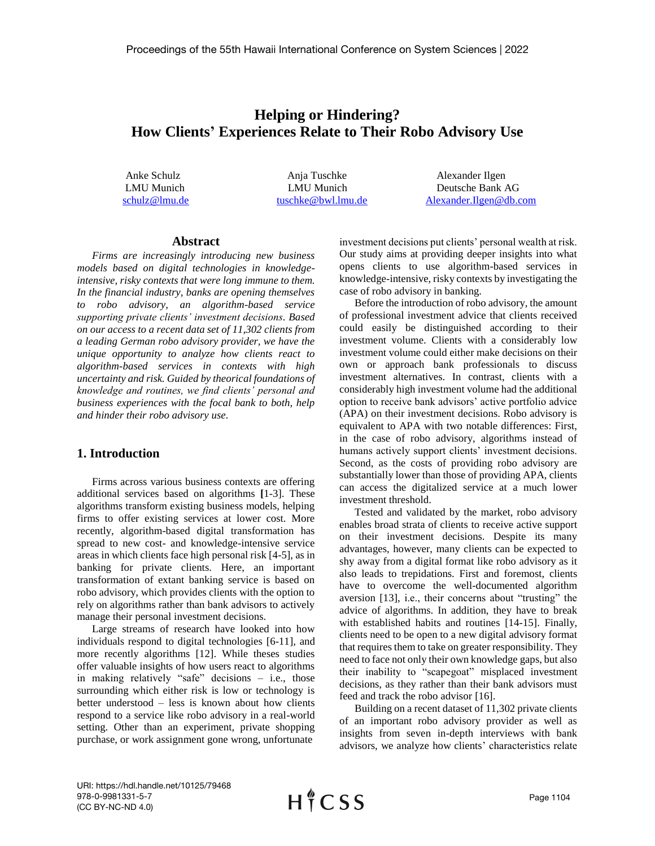# **Helping or Hindering? How Clients' Experiences Relate to Their Robo Advisory Use**

Anke Schulz Anja Tuschke Alexander Ilgen LMU Munich LMU Munich Deutsche Bank AG [schulz@lmu.de](mailto:schulz@lmu.de) [tuschke@bwl.lmu.de](mailto:tuschke@bwl.lmu.de) [Alexander.Ilgen@db.com](mailto:Alexander.Ilgen@db.com)

## **Abstract**

*Firms are increasingly introducing new business models based on digital technologies in knowledgeintensive, risky contexts that were long immune to them. In the financial industry, banks are opening themselves to robo advisory, an algorithm-based service supporting private clients' investment decisions. Based on our access to a recent data set of 11,302 clients from a leading German robo advisory provider, we have the unique opportunity to analyze how clients react to algorithm-based services in contexts with high uncertainty and risk. Guided by theorical foundations of knowledge and routines, we find clients' personal and business experiences with the focal bank to both, help and hinder their robo advisory use.* 

#### **1. Introduction**

Firms across various business contexts are offering additional services based on algorithms **[**1-3]. These algorithms transform existing business models, helping firms to offer existing services at lower cost. More recently, algorithm-based digital transformation has spread to new cost- and knowledge-intensive service areas in which clients face high personal risk [4-5], as in banking for private clients. Here, an important transformation of extant banking service is based on robo advisory, which provides clients with the option to rely on algorithms rather than bank advisors to actively manage their personal investment decisions.

Large streams of research have looked into how individuals respond to digital technologies [6-11], and more recently algorithms [12]. While theses studies offer valuable insights of how users react to algorithms in making relatively "safe" decisions – i.e., those surrounding which either risk is low or technology is better understood – less is known about how clients respond to a service like robo advisory in a real-world setting. Other than an experiment, private shopping purchase, or work assignment gone wrong, unfortunate

investment decisions put clients' personal wealth at risk. Our study aims at providing deeper insights into what opens clients to use algorithm-based services in knowledge-intensive, risky contexts by investigating the case of robo advisory in banking.

Before the introduction of robo advisory, the amount of professional investment advice that clients received could easily be distinguished according to their investment volume. Clients with a considerably low investment volume could either make decisions on their own or approach bank professionals to discuss investment alternatives. In contrast, clients with a considerably high investment volume had the additional option to receive bank advisors' active portfolio advice (APA) on their investment decisions. Robo advisory is equivalent to APA with two notable differences: First, in the case of robo advisory, algorithms instead of humans actively support clients' investment decisions. Second, as the costs of providing robo advisory are substantially lower than those of providing APA, clients can access the digitalized service at a much lower investment threshold.

Tested and validated by the market, robo advisory enables broad strata of clients to receive active support on their investment decisions. Despite its many advantages, however, many clients can be expected to shy away from a digital format like robo advisory as it also leads to trepidations. First and foremost, clients have to overcome the well-documented algorithm aversion [13], i.e., their concerns about "trusting" the advice of algorithms. In addition, they have to break with established habits and routines [14-15]. Finally, clients need to be open to a new digital advisory format that requires them to take on greater responsibility. They need to face not only their own knowledge gaps, but also their inability to "scapegoat" misplaced investment decisions, as they rather than their bank advisors must feed and track the robo advisor [16].

Building on a recent dataset of 11,302 private clients of an important robo advisory provider as well as insights from seven in-depth interviews with bank advisors, we analyze how clients' characteristics relate

URI: https://hdl.handle.net/10125/79468 978-0-9981331-5-7 (CC BY-NC-ND 4.0)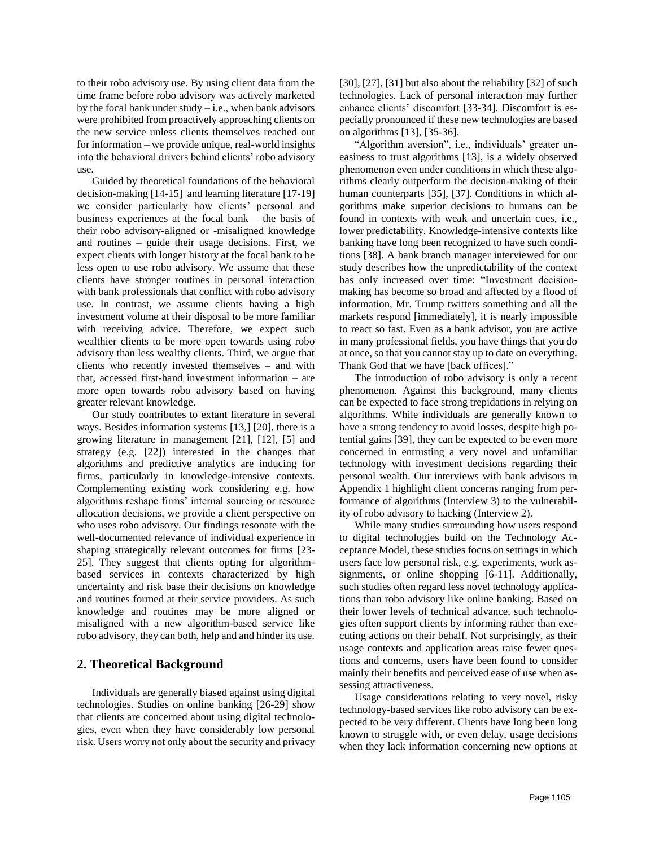to their robo advisory use. By using client data from the time frame before robo advisory was actively marketed by the focal bank under study  $-i.e.,$  when bank advisors were prohibited from proactively approaching clients on the new service unless clients themselves reached out for information – we provide unique, real-world insights into the behavioral drivers behind clients' robo advisory use.

Guided by theoretical foundations of the behavioral decision-making [14-15] and learning literature [17-19] we consider particularly how clients' personal and business experiences at the focal bank – the basis of their robo advisory-aligned or -misaligned knowledge and routines – guide their usage decisions. First, we expect clients with longer history at the focal bank to be less open to use robo advisory. We assume that these clients have stronger routines in personal interaction with bank professionals that conflict with robo advisory use. In contrast, we assume clients having a high investment volume at their disposal to be more familiar with receiving advice. Therefore, we expect such wealthier clients to be more open towards using robo advisory than less wealthy clients. Third, we argue that clients who recently invested themselves – and with that, accessed first-hand investment information – are more open towards robo advisory based on having greater relevant knowledge.

Our study contributes to extant literature in several ways. Besides information systems [13,] [20], there is a growing literature in management [21], [12], [5] and strategy (e.g. [22]) interested in the changes that algorithms and predictive analytics are inducing for firms, particularly in knowledge-intensive contexts. Complementing existing work considering e.g. how algorithms reshape firms' internal sourcing or resource allocation decisions, we provide a client perspective on who uses robo advisory. Our findings resonate with the well-documented relevance of individual experience in shaping strategically relevant outcomes for firms [23- 25]. They suggest that clients opting for algorithmbased services in contexts characterized by high uncertainty and risk base their decisions on knowledge and routines formed at their service providers. As such knowledge and routines may be more aligned or misaligned with a new algorithm-based service like robo advisory, they can both, help and and hinder its use.

# **2. Theoretical Background**

Individuals are generally biased against using digital technologies. Studies on online banking [26-29] show that clients are concerned about using digital technologies, even when they have considerably low personal risk. Users worry not only about the security and privacy [30], [27], [31] but also about the reliability [32] of such technologies. Lack of personal interaction may further enhance clients' discomfort [33-34]. Discomfort is especially pronounced if these new technologies are based on algorithms [13], [35-36].

"Algorithm aversion", i.e., individuals' greater uneasiness to trust algorithms [13], is a widely observed phenomenon even under conditions in which these algorithms clearly outperform the decision-making of their human counterparts [35], [37]. Conditions in which algorithms make superior decisions to humans can be found in contexts with weak and uncertain cues, i.e., lower predictability. Knowledge-intensive contexts like banking have long been recognized to have such conditions [38]. A bank branch manager interviewed for our study describes how the unpredictability of the context has only increased over time: "Investment decisionmaking has become so broad and affected by a flood of information, Mr. Trump twitters something and all the markets respond [immediately], it is nearly impossible to react so fast. Even as a bank advisor, you are active in many professional fields, you have things that you do at once, so that you cannot stay up to date on everything. Thank God that we have [back offices]."

The introduction of robo advisory is only a recent phenomenon. Against this background, many clients can be expected to face strong trepidations in relying on algorithms. While individuals are generally known to have a strong tendency to avoid losses, despite high potential gains [39], they can be expected to be even more concerned in entrusting a very novel and unfamiliar technology with investment decisions regarding their personal wealth. Our interviews with bank advisors in Appendix 1 highlight client concerns ranging from performance of algorithms (Interview 3) to the vulnerability of robo advisory to hacking (Interview 2).

While many studies surrounding how users respond to digital technologies build on the Technology Acceptance Model, these studies focus on settings in which users face low personal risk, e.g. experiments, work assignments, or online shopping [6-11]. Additionally, such studies often regard less novel technology applications than robo advisory like online banking. Based on their lower levels of technical advance, such technologies often support clients by informing rather than executing actions on their behalf. Not surprisingly, as their usage contexts and application areas raise fewer questions and concerns, users have been found to consider mainly their benefits and perceived ease of use when assessing attractiveness.

Usage considerations relating to very novel, risky technology-based services like robo advisory can be expected to be very different. Clients have long been long known to struggle with, or even delay, usage decisions when they lack information concerning new options at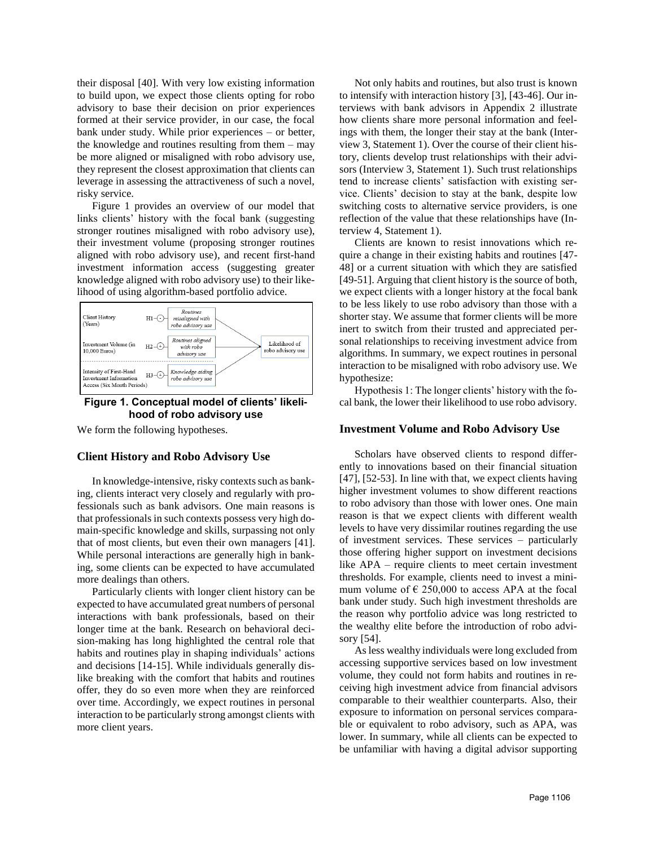their disposal [40]. With very low existing information to build upon, we expect those clients opting for robo advisory to base their decision on prior experiences formed at their service provider, in our case, the focal bank under study. While prior experiences – or better, the knowledge and routines resulting from them – may be more aligned or misaligned with robo advisory use, they represent the closest approximation that clients can leverage in assessing the attractiveness of such a novel, risky service.

Figure 1 provides an overview of our model that links clients' history with the focal bank (suggesting stronger routines misaligned with robo advisory use), their investment volume (proposing stronger routines aligned with robo advisory use), and recent first-hand investment information access (suggesting greater knowledge aligned with robo advisory use) to their likelihood of using algorithm-based portfolio advice.



#### **Figure 1. Conceptual model of clients' likelihood of robo advisory use**

We form the following hypotheses.

#### **Client History and Robo Advisory Use**

In knowledge-intensive, risky contexts such as banking, clients interact very closely and regularly with professionals such as bank advisors. One main reasons is that professionals in such contexts possess very high domain-specific knowledge and skills, surpassing not only that of most clients, but even their own managers [41]. While personal interactions are generally high in banking, some clients can be expected to have accumulated more dealings than others.

Particularly clients with longer client history can be expected to have accumulated great numbers of personal interactions with bank professionals, based on their longer time at the bank. Research on behavioral decision-making has long highlighted the central role that habits and routines play in shaping individuals' actions and decisions [14-15]. While individuals generally dislike breaking with the comfort that habits and routines offer, they do so even more when they are reinforced over time. Accordingly, we expect routines in personal interaction to be particularly strong amongst clients with more client years.

Not only habits and routines, but also trust is known to intensify with interaction history [3], [43-46]. Our interviews with bank advisors in Appendix 2 illustrate how clients share more personal information and feelings with them, the longer their stay at the bank (Interview 3, Statement 1). Over the course of their client history, clients develop trust relationships with their advisors (Interview 3, Statement 1). Such trust relationships tend to increase clients' satisfaction with existing service. Clients' decision to stay at the bank, despite low switching costs to alternative service providers, is one reflection of the value that these relationships have (Interview 4, Statement 1).

Clients are known to resist innovations which require a change in their existing habits and routines [47- 48] or a current situation with which they are satisfied [49-51]. Arguing that client history is the source of both, we expect clients with a longer history at the focal bank to be less likely to use robo advisory than those with a shorter stay. We assume that former clients will be more inert to switch from their trusted and appreciated personal relationships to receiving investment advice from algorithms. In summary, we expect routines in personal interaction to be misaligned with robo advisory use. We hypothesize:

Hypothesis 1: The longer clients' history with the focal bank, the lower their likelihood to use robo advisory.

#### **Investment Volume and Robo Advisory Use**

Scholars have observed clients to respond differently to innovations based on their financial situation [47], [52-53]. In line with that, we expect clients having higher investment volumes to show different reactions to robo advisory than those with lower ones. One main reason is that we expect clients with different wealth levels to have very dissimilar routines regarding the use of investment services. These services – particularly those offering higher support on investment decisions like APA – require clients to meet certain investment thresholds. For example, clients need to invest a minimum volume of  $\epsilon$  250,000 to access APA at the focal bank under study. Such high investment thresholds are the reason why portfolio advice was long restricted to the wealthy elite before the introduction of robo advisory [54].

As less wealthy individuals were long excluded from accessing supportive services based on low investment volume, they could not form habits and routines in receiving high investment advice from financial advisors comparable to their wealthier counterparts. Also, their exposure to information on personal services comparable or equivalent to robo advisory, such as APA, was lower. In summary, while all clients can be expected to be unfamiliar with having a digital advisor supporting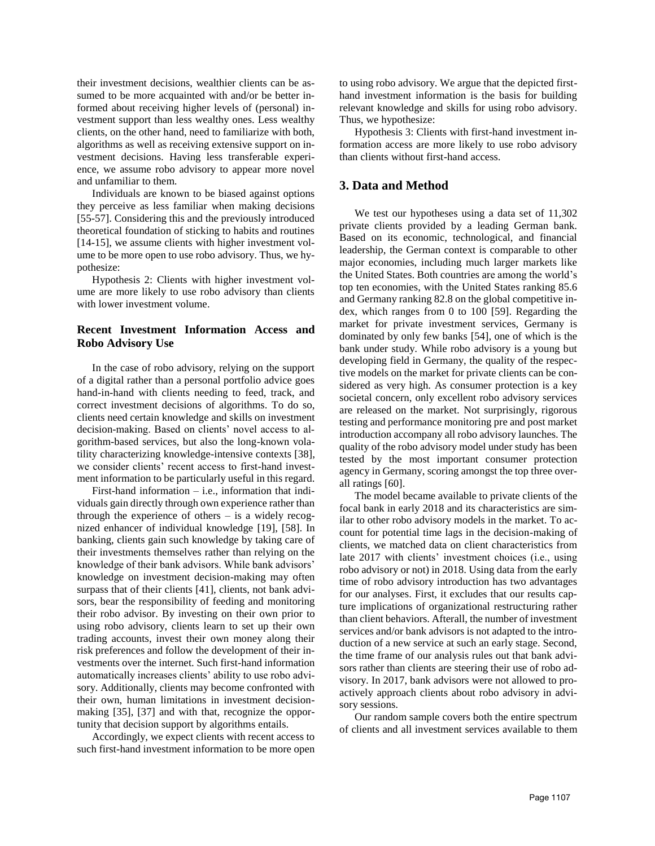their investment decisions, wealthier clients can be assumed to be more acquainted with and/or be better informed about receiving higher levels of (personal) investment support than less wealthy ones. Less wealthy clients, on the other hand, need to familiarize with both, algorithms as well as receiving extensive support on investment decisions. Having less transferable experience, we assume robo advisory to appear more novel and unfamiliar to them.

Individuals are known to be biased against options they perceive as less familiar when making decisions [55-57]. Considering this and the previously introduced theoretical foundation of sticking to habits and routines [14-15], we assume clients with higher investment volume to be more open to use robo advisory. Thus, we hypothesize:

Hypothesis 2: Clients with higher investment volume are more likely to use robo advisory than clients with lower investment volume.

### **Recent Investment Information Access and Robo Advisory Use**

In the case of robo advisory, relying on the support of a digital rather than a personal portfolio advice goes hand-in-hand with clients needing to feed, track, and correct investment decisions of algorithms. To do so, clients need certain knowledge and skills on investment decision-making. Based on clients' novel access to algorithm-based services, but also the long-known volatility characterizing knowledge-intensive contexts [38], we consider clients' recent access to first-hand investment information to be particularly useful in this regard.

First-hand information – i.e., information that individuals gain directly through own experience rather than through the experience of others  $-$  is a widely recognized enhancer of individual knowledge [19], [58]. In banking, clients gain such knowledge by taking care of their investments themselves rather than relying on the knowledge of their bank advisors. While bank advisors' knowledge on investment decision-making may often surpass that of their clients [41], clients, not bank advisors, bear the responsibility of feeding and monitoring their robo advisor. By investing on their own prior to using robo advisory, clients learn to set up their own trading accounts, invest their own money along their risk preferences and follow the development of their investments over the internet. Such first-hand information automatically increases clients' ability to use robo advisory. Additionally, clients may become confronted with their own, human limitations in investment decisionmaking [35], [37] and with that, recognize the opportunity that decision support by algorithms entails.

Accordingly, we expect clients with recent access to such first-hand investment information to be more open

to using robo advisory. We argue that the depicted firsthand investment information is the basis for building relevant knowledge and skills for using robo advisory. Thus, we hypothesize:

Hypothesis 3: Clients with first-hand investment information access are more likely to use robo advisory than clients without first-hand access.

## **3. Data and Method**

We test our hypotheses using a data set of 11,302 private clients provided by a leading German bank. Based on its economic, technological, and financial leadership, the German context is comparable to other major economies, including much larger markets like the United States. Both countries are among the world's top ten economies, with the United States ranking 85.6 and Germany ranking 82.8 on the global competitive index, which ranges from 0 to 100 [59]. Regarding the market for private investment services, Germany is dominated by only few banks [54], one of which is the bank under study. While robo advisory is a young but developing field in Germany, the quality of the respective models on the market for private clients can be considered as very high. As consumer protection is a key societal concern, only excellent robo advisory services are released on the market. Not surprisingly, rigorous testing and performance monitoring pre and post market introduction accompany all robo advisory launches. The quality of the robo advisory model under study has been tested by the most important consumer protection agency in Germany, scoring amongst the top three overall ratings [60].

The model became available to private clients of the focal bank in early 2018 and its characteristics are similar to other robo advisory models in the market. To account for potential time lags in the decision-making of clients, we matched data on client characteristics from late 2017 with clients' investment choices (i.e., using robo advisory or not) in 2018. Using data from the early time of robo advisory introduction has two advantages for our analyses. First, it excludes that our results capture implications of organizational restructuring rather than client behaviors. Afterall, the number of investment services and/or bank advisors is not adapted to the introduction of a new service at such an early stage. Second, the time frame of our analysis rules out that bank advisors rather than clients are steering their use of robo advisory. In 2017, bank advisors were not allowed to proactively approach clients about robo advisory in advisory sessions.

Our random sample covers both the entire spectrum of clients and all investment services available to them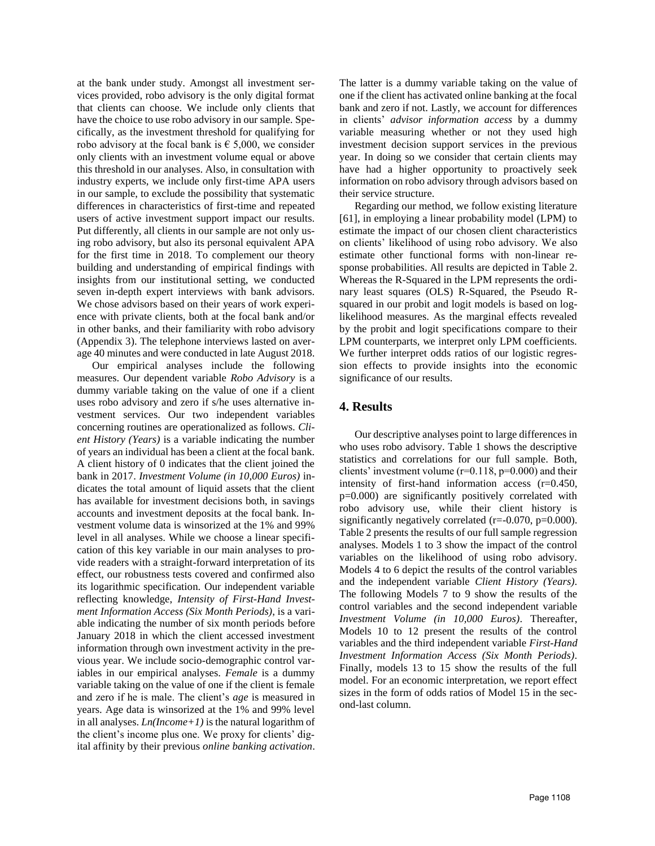at the bank under study. Amongst all investment services provided, robo advisory is the only digital format that clients can choose. We include only clients that have the choice to use robo advisory in our sample. Specifically, as the investment threshold for qualifying for robo advisory at the focal bank is  $\epsilon$  5,000, we consider only clients with an investment volume equal or above this threshold in our analyses. Also, in consultation with industry experts, we include only first-time APA users in our sample, to exclude the possibility that systematic differences in characteristics of first-time and repeated users of active investment support impact our results. Put differently, all clients in our sample are not only using robo advisory, but also its personal equivalent APA for the first time in 2018. To complement our theory building and understanding of empirical findings with insights from our institutional setting, we conducted seven in-depth expert interviews with bank advisors. We chose advisors based on their years of work experience with private clients, both at the focal bank and/or in other banks, and their familiarity with robo advisory (Appendix 3). The telephone interviews lasted on average 40 minutes and were conducted in late August 2018.

Our empirical analyses include the following measures. Our dependent variable *Robo Advisory* is a dummy variable taking on the value of one if a client uses robo advisory and zero if s/he uses alternative investment services. Our two independent variables concerning routines are operationalized as follows. *Client History (Years)* is a variable indicating the number of years an individual has been a client at the focal bank. A client history of 0 indicates that the client joined the bank in 2017. *Investment Volume (in 10,000 Euros)* indicates the total amount of liquid assets that the client has available for investment decisions both, in savings accounts and investment deposits at the focal bank. Investment volume data is winsorized at the 1% and 99% level in all analyses. While we choose a linear specification of this key variable in our main analyses to provide readers with a straight-forward interpretation of its effect, our robustness tests covered and confirmed also its logarithmic specification. Our independent variable reflecting knowledge, *Intensity of First-Hand Investment Information Access (Six Month Periods)*, is a variable indicating the number of six month periods before January 2018 in which the client accessed investment information through own investment activity in the previous year. We include socio-demographic control variables in our empirical analyses. Female is a dummy variable taking on the value of one if the client is female and zero if he is male. The client's *age* is measured in years. Age data is winsorized at the 1% and 99% level in all analyses. *Ln(Income+1)* is the natural logarithm of the client's income plus one. We proxy for clients' digital affinity by their previous *online banking activation*.

The latter is a dummy variable taking on the value of one if the client has activated online banking at the focal bank and zero if not. Lastly, we account for differences in clients' *advisor information access* by a dummy variable measuring whether or not they used high investment decision support services in the previous year. In doing so we consider that certain clients may have had a higher opportunity to proactively seek information on robo advisory through advisors based on their service structure.

Regarding our method, we follow existing literature [61], in employing a linear probability model (LPM) to estimate the impact of our chosen client characteristics on clients' likelihood of using robo advisory. We also estimate other functional forms with non-linear response probabilities. All results are depicted in Table 2. Whereas the R-Squared in the LPM represents the ordinary least squares (OLS) R-Squared, the Pseudo Rsquared in our probit and logit models is based on loglikelihood measures. As the marginal effects revealed by the probit and logit specifications compare to their LPM counterparts, we interpret only LPM coefficients. We further interpret odds ratios of our logistic regression effects to provide insights into the economic significance of our results.

#### **4. Results**

Our descriptive analyses point to large differences in who uses robo advisory. Table 1 shows the descriptive statistics and correlations for our full sample. Both, clients' investment volume  $(r=0.118, p=0.000)$  and their intensity of first-hand information access (r=0.450, p=0.000) are significantly positively correlated with robo advisory use, while their client history is significantly negatively correlated (r=-0.070, p=0.000). Table 2 presents the results of our full sample regression analyses. Models 1 to 3 show the impact of the control variables on the likelihood of using robo advisory. Models 4 to 6 depict the results of the control variables and the independent variable *Client History (Years)*. The following Models 7 to 9 show the results of the control variables and the second independent variable *Investment Volume (in 10,000 Euros)*. Thereafter, Models 10 to 12 present the results of the control variables and the third independent variable *First-Hand Investment Information Access (Six Month Periods)*. Finally, models 13 to 15 show the results of the full model. For an economic interpretation, we report effect sizes in the form of odds ratios of Model 15 in the second-last column.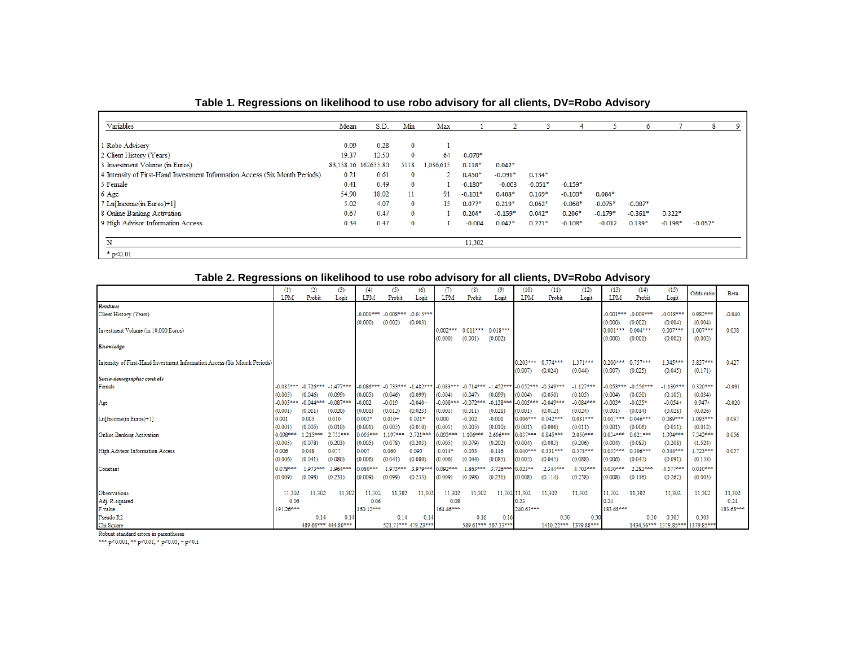| Table 1. Regressions on likelihood to use robo advisory for all clients, DV=Robo Advisory |  |  |
|-------------------------------------------------------------------------------------------|--|--|
|                                                                                           |  |  |

| Variables                                                                   | Mean  | S.D.                | Min         | Max       |           |           |           |           |           | 6         |           |           |  |
|-----------------------------------------------------------------------------|-------|---------------------|-------------|-----------|-----------|-----------|-----------|-----------|-----------|-----------|-----------|-----------|--|
|                                                                             |       |                     |             |           |           |           |           |           |           |           |           |           |  |
| Robo Advisory                                                               | 0.09  | 0.28                | 0           |           |           |           |           |           |           |           |           |           |  |
| 2 Client History (Years)                                                    | 19.37 | 12.50               | 0           | 64        | $-0.070*$ |           |           |           |           |           |           |           |  |
| 3 Investment Volume (in Euros)                                              |       | 83,158.16 162635.80 | 5118        | 1,036,615 | $0.118*$  | $0.042*$  |           |           |           |           |           |           |  |
| 4 Intensity of First-Hand Investment Information Access (Six Month Periods) | 0.21  | 0.61                | $\mathbf 0$ |           | $0.450*$  | $-0.091*$ | $0.134*$  |           |           |           |           |           |  |
| 5 Female                                                                    | 0.41  | 0.49                | 0           |           | $-0.180*$ | $-0.003$  | $-0.051*$ | $-0.159*$ |           |           |           |           |  |
| 6 Age                                                                       | 54.90 | 18.02               | 11          | 91        | $-0.101*$ | $0.408*$  | $0.169*$  | $-0.100*$ | $0.084*$  |           |           |           |  |
| 7 Ln[Income(in Euros)+1]                                                    | 5.02  | 4.07                | 0           | 15        | $0.077*$  | $0.219*$  | $0.062*$  | $-0.068*$ | $-0.075*$ | $-0.087*$ |           |           |  |
| 8 Online Banking Activation                                                 | 0.67  | 0.47                | $\mathbf 0$ |           | $0.204*$  | $-0.159*$ | $0.042*$  | $0.206*$  | $-0.179*$ | $-0.361*$ | $0.322*$  |           |  |
| 9 High Advisor Information Access                                           | 0.34  | 0.47                | $\mathbf 0$ |           | $-0.004$  | $0.042*$  | $0.271*$  | $-0.108*$ | $-0.012$  | $0.139*$  | $-0.198*$ | $-0.052*$ |  |
|                                                                             |       |                     |             |           |           |           |           |           |           |           |           |           |  |
| N                                                                           |       |                     |             |           | 11,302    |           |           |           |           |           |           |           |  |
| $*$ p<0.01                                                                  |       |                     |             |           |           |           |           |           |           |           |           |           |  |

# **Table 2. Regressions on likelihood to use robo advisory for all clients, DV=Robo Advisory**

|                                                                           | (1)<br><b>LPM</b> | (2)<br>Probit | (3)<br>Logit                        | (4)<br><b>LPM</b> | (5)<br>Probit           | (6)<br>Logit        | (7)<br><b>LPM</b> | (8)<br>Probit           | (9)<br>Logit                                                                                    | (10)<br><b>LPM</b> | (11)<br>Probit | (12)<br>Logit         | (13)<br><b>LPM</b> | (14)<br>Probit | (15)<br>Logit                    | Odds ratio | <b>Beta</b> |
|---------------------------------------------------------------------------|-------------------|---------------|-------------------------------------|-------------------|-------------------------|---------------------|-------------------|-------------------------|-------------------------------------------------------------------------------------------------|--------------------|----------------|-----------------------|--------------------|----------------|----------------------------------|------------|-------------|
| <b>Routines</b>                                                           |                   |               |                                     |                   |                         |                     |                   |                         |                                                                                                 |                    |                |                       |                    |                |                                  |            |             |
| Client History (Years)                                                    |                   |               |                                     | $-0.001***$       | $-0.008***$ $-0.015***$ |                     |                   |                         |                                                                                                 |                    |                |                       | $-0.001***$        | $-0.009***$    | $-0.018***$                      | $0.982***$ | $-0.040$    |
|                                                                           |                   |               |                                     | (0.000)           | (0.002)                 | (0.003)             |                   |                         |                                                                                                 |                    |                |                       | (0.000)            | (0.002)        | (0.004)                          | (0.004)    |             |
| Investment Volume (in 10,000 Euros)                                       |                   |               |                                     |                   |                         |                     | $0.002***$        | $0.011***$              | $0.018***$                                                                                      |                    |                |                       | $0.001***$         | $0.004***$     | $0.007***$                       | 1.007***   | 0.038       |
|                                                                           |                   |               |                                     |                   |                         |                     | (0.000)           | (0.001)                 | (0.002)                                                                                         |                    |                |                       | (0.000)            | (0.001)        | (0.002)                          | (0.002)    |             |
| Knowledge                                                                 |                   |               |                                     |                   |                         |                     |                   |                         |                                                                                                 |                    |                |                       |                    |                |                                  |            |             |
|                                                                           |                   |               |                                     |                   |                         |                     |                   |                         |                                                                                                 |                    |                |                       |                    |                |                                  |            |             |
| Intensity of First-Hand Investment Information Access (Six Month Periods) |                   |               |                                     |                   |                         |                     |                   |                         |                                                                                                 | $0.203***$         | 0.774***       | 1.371***              | $0.200***$         | $0.757***$     | 1.345***                         | 3.837***   | 0.427       |
|                                                                           |                   |               |                                     |                   |                         |                     |                   |                         |                                                                                                 | (0.007)            | (0.024)        | (0.044)               | (0.007)            | (0.025)        | (0.045)                          | (0.171)    |             |
| Socio-demographic controls                                                |                   |               |                                     |                   |                         |                     |                   |                         |                                                                                                 |                    |                |                       |                    |                |                                  |            |             |
| Female                                                                    |                   |               | $-0.085***$ $-0.726***$ $-1.477***$ |                   |                         |                     |                   |                         | $-0.086***$ $-0.733***$ $-1.482***$ $-0.083***$ $-0.714***$ $-1.452***$ $-0.052***$ $-0.549***$ |                    |                | $-1.127***$           | $-0.053***$        | $-0.556***$    | $-1.139***$                      | $0.320***$ | $-0.091$    |
|                                                                           | (0.005)           | (0.046)       | (0.099)                             | (0.005)           | (0.046)                 | (0.099)             | (0.004)           | (0.047)                 | (0.099)                                                                                         | (0.004)            | (0.050)        | (0.105)               | (0.004)            | (0.050)        | (0.105)                          | (0.034)    |             |
| Age                                                                       | $-0.005***$       | $-0.044***$   | $-0.087***$                         | $-0.002$          | $-0.019$                | $-0.040+$           | $-0.008***$       | $-0.072***$             | $-0.138**$                                                                                      | $-0.005***$        | $-0.049***$    | $-0.084***$           | $-0.003*$          | $-0.035*$      | $-0.054+$                        | $0.947 +$  | $-0.020$    |
|                                                                           | (0.001)           | (0.011)       | (0.020)                             | (0.001)           | (0.012)                 | (0.023)             | (0.001)           | (0.011)                 | (0.021)                                                                                         | (0.001)            | (0.012)        | (0.024)               | (0.001)            | (0.014)        | (0.028)                          | (0.026)    |             |
| Ln[Income(in Euros)+1]                                                    | 0.001             | 0.003         | 0.010                               | $0.002*$          | $0.010+$                | $0.021*$            | 0.000             | $-0.002$                | $-0.001$                                                                                        | $0.006***$         | $0.042***$     | $0.081***$            | 0.007***           | $0.046***$     | $0.089***$                       | 1.093***   | 0.097       |
|                                                                           | (0.001)           | (0.005)       | (0.010)                             | (0.001)           | (0.005)                 | (0.010)             | (0.001)           | (0.005)                 | (0.010)                                                                                         | (0.001)            | (0.006)        | (0.011)               | (0.001)            | (0.006)        | (0.011)                          | (0.012)    |             |
| <b>Online Banking Activation</b>                                          | $0.098***$        | 1.215***      | 2.753***                            | 0.095***          | $1.197***$              | 2.721***            | 0.093***          | 1.196***                | 2.696**                                                                                         | 0.037***           | 0.845***       | 2.050***              | $0.034***$         | $0.821***$     | 1.994***                         | 7.342***   | 0.056       |
|                                                                           | (0.005)           | (0.078)       | (0.203)                             | (0.005)           | (0.078)                 | (0.203)             | (0.005)           | (0.079)                 | (0.202)                                                                                         | (0.004)            | (0.083)        | (0.206)               | (0.004)            | (0.083)        | (0.208)                          | (1.524)    |             |
| High Advisor Information Access                                           | 0.006             | 0.048         | 0.077                               | 0.007             | 0.060                   | 0.095               | $-0.014*$         | $-0.053$                | $-0.116$                                                                                        | $0.040***$         | $0.331***$     | 0.578***              | $0.035***$         | $0.306***$     | $0.544***$                       | 1.723***   | 0.057       |
|                                                                           | (0.006)           | (0.041)       | (0.080)                             | (0.006)           | (0.041)                 | (0.080)             | (0.006)           | (0.044)                 | (0.085)                                                                                         | (0.005)            | (0.045)        | (0.088)               | (0.006)            | (0.047)        | (0.091)                          | (0.158)    |             |
|                                                                           |                   |               |                                     |                   |                         |                     |                   |                         |                                                                                                 |                    |                |                       |                    |                |                                  |            |             |
| Constant                                                                  | $0.078***$        | $-1.973***$   | $-3.964***$                         | $0.080***$        | $-1.975***$ $-3.979***$ |                     | 0.092***          | $-1.863***$ $-3.726***$ |                                                                                                 | $0.023**$          | $-2.344***$    | $-4.703***$           | 0.030 ***          | $-2.282***$    | $-4.577***$                      | $0.010***$ |             |
|                                                                           | (0.009)           | (0.098)       | (0.231)                             | (0.009)           | (0.099)                 | (0.233)             | (0.009)           | (0.098)                 | (0.231)                                                                                         | (0.008)            | (0.114)        | (0.258)               | (0.008)            | (0.116)        | (0.262)                          | (0.003)    |             |
|                                                                           |                   |               |                                     |                   |                         |                     |                   |                         |                                                                                                 |                    |                |                       |                    |                |                                  |            |             |
| Observations                                                              | 11,302            | 11.302        | 11,302                              | 11.302            | 11.302                  | 11,302              | 11.302            | 11.302                  |                                                                                                 | 11,302 11,302      | 11.302         | 11.302                | 11,302             | 11.302         | 11,302                           | 11.302     | 11,302      |
| Adj. R-squared                                                            | 0.06              |               |                                     | 0.06              |                         |                     | 0.08              |                         |                                                                                                 | 0.23               |                |                       | 0.24               |                |                                  |            | 0.24        |
| F value                                                                   | 191.26***         |               |                                     | 160.12***         |                         |                     | 164.46***         |                         |                                                                                                 | 240.63***          |                |                       | 183.68***          |                |                                  |            | 183.68***   |
| Pseudo R <sub>2</sub>                                                     |                   | 0.14          | 0.14                                |                   | 0.14                    | 0.14                |                   | 0.16                    | 0.16                                                                                            |                    | 0.30           | 0.30                  |                    | 0.30           | 0.303                            | 0.303      |             |
| Chi Square                                                                |                   |               | 489.66*** 444.80***                 |                   |                         | 521.71*** 479.23*** |                   |                         | 589.61*** 567.33***                                                                             |                    |                | 1410.22*** 1379.88*** |                    |                | 1434.56*** 1379.85*** 1379.85*** |            |             |

Robust standard errors in parentheses<br>\*\*\* p<0.001, \*\* p<0.01, \* p<0.05, + p<0.1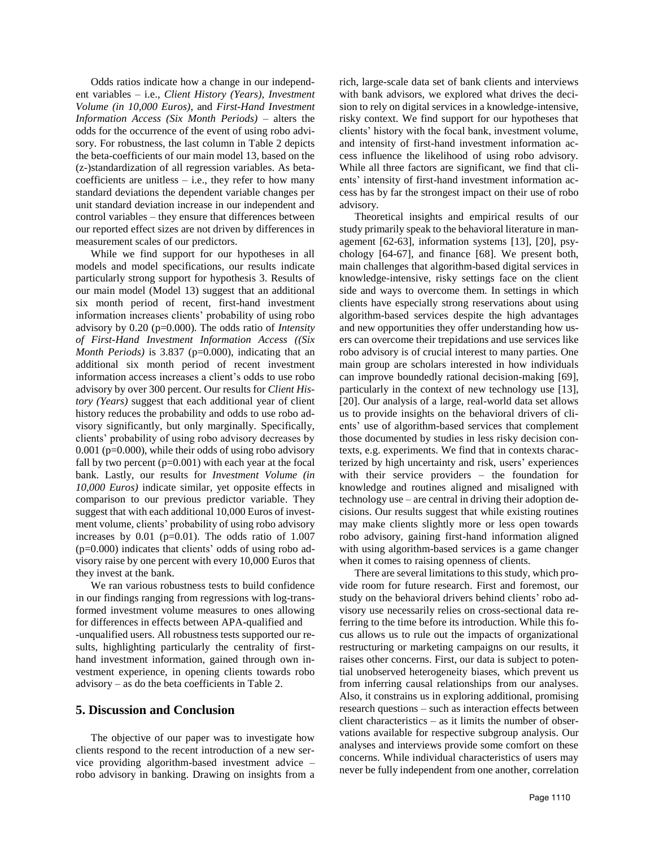Odds ratios indicate how a change in our independent variables – i.e., *Client History (Years)*, *Investment Volume (in 10,000 Euros)*, and *First-Hand Investment Information Access (Six Month Periods)* – alters the odds for the occurrence of the event of using robo advisory. For robustness, the last column in Table 2 depicts the beta-coefficients of our main model 13, based on the (z-)standardization of all regression variables. As betacoefficients are unitless  $-$  i.e., they refer to how many standard deviations the dependent variable changes per unit standard deviation increase in our independent and control variables – they ensure that differences between our reported effect sizes are not driven by differences in measurement scales of our predictors.

While we find support for our hypotheses in all models and model specifications, our results indicate particularly strong support for hypothesis 3. Results of our main model (Model 13) suggest that an additional six month period of recent, first-hand investment information increases clients' probability of using robo advisory by 0.20 (p=0.000). The odds ratio of *Intensity of First-Hand Investment Information Access ((Six Month Periods*) is 3.837 (p=0.000), indicating that an additional six month period of recent investment information access increases a client's odds to use robo advisory by over 300 percent. Our results for *Client History (Years)* suggest that each additional year of client history reduces the probability and odds to use robo advisory significantly, but only marginally. Specifically, clients' probability of using robo advisory decreases by  $0.001$  (p=0.000), while their odds of using robo advisory fall by two percent  $(p=0.001)$  with each year at the focal bank. Lastly, our results for *Investment Volume (in 10,000 Euros)* indicate similar, yet opposite effects in comparison to our previous predictor variable. They suggest that with each additional 10,000 Euros of investment volume, clients' probability of using robo advisory increases by  $0.01$  (p=0.01). The odds ratio of  $1.007$ (p=0.000) indicates that clients' odds of using robo advisory raise by one percent with every 10,000 Euros that they invest at the bank.

We ran various robustness tests to build confidence in our findings ranging from regressions with log-transformed investment volume measures to ones allowing for differences in effects between APA-qualified and -unqualified users. All robustness tests supported our results, highlighting particularly the centrality of firsthand investment information, gained through own investment experience, in opening clients towards robo advisory – as do the beta coefficients in Table 2.

#### **5. Discussion and Conclusion**

The objective of our paper was to investigate how clients respond to the recent introduction of a new service providing algorithm-based investment advice – robo advisory in banking. Drawing on insights from a rich, large-scale data set of bank clients and interviews with bank advisors, we explored what drives the decision to rely on digital services in a knowledge-intensive, risky context. We find support for our hypotheses that clients' history with the focal bank, investment volume, and intensity of first-hand investment information access influence the likelihood of using robo advisory. While all three factors are significant, we find that clients' intensity of first-hand investment information access has by far the strongest impact on their use of robo advisory.

Theoretical insights and empirical results of our study primarily speak to the behavioral literature in management [62-63], information systems [13], [20], psychology [64-67], and finance [68]. We present both, main challenges that algorithm-based digital services in knowledge-intensive, risky settings face on the client side and ways to overcome them. In settings in which clients have especially strong reservations about using algorithm-based services despite the high advantages and new opportunities they offer understanding how users can overcome their trepidations and use services like robo advisory is of crucial interest to many parties. One main group are scholars interested in how individuals can improve boundedly rational decision-making [69], particularly in the context of new technology use [13], [20]. Our analysis of a large, real-world data set allows us to provide insights on the behavioral drivers of clients' use of algorithm-based services that complement those documented by studies in less risky decision contexts, e.g. experiments. We find that in contexts characterized by high uncertainty and risk, users' experiences with their service providers – the foundation for knowledge and routines aligned and misaligned with technology use – are central in driving their adoption decisions. Our results suggest that while existing routines may make clients slightly more or less open towards robo advisory, gaining first-hand information aligned with using algorithm-based services is a game changer when it comes to raising openness of clients.

There are several limitations to this study, which provide room for future research. First and foremost, our study on the behavioral drivers behind clients' robo advisory use necessarily relies on cross-sectional data referring to the time before its introduction. While this focus allows us to rule out the impacts of organizational restructuring or marketing campaigns on our results, it raises other concerns. First, our data is subject to potential unobserved heterogeneity biases, which prevent us from inferring causal relationships from our analyses. Also, it constrains us in exploring additional, promising research questions – such as interaction effects between client characteristics – as it limits the number of observations available for respective subgroup analysis. Our analyses and interviews provide some comfort on these concerns. While individual characteristics of users may never be fully independent from one another, correlation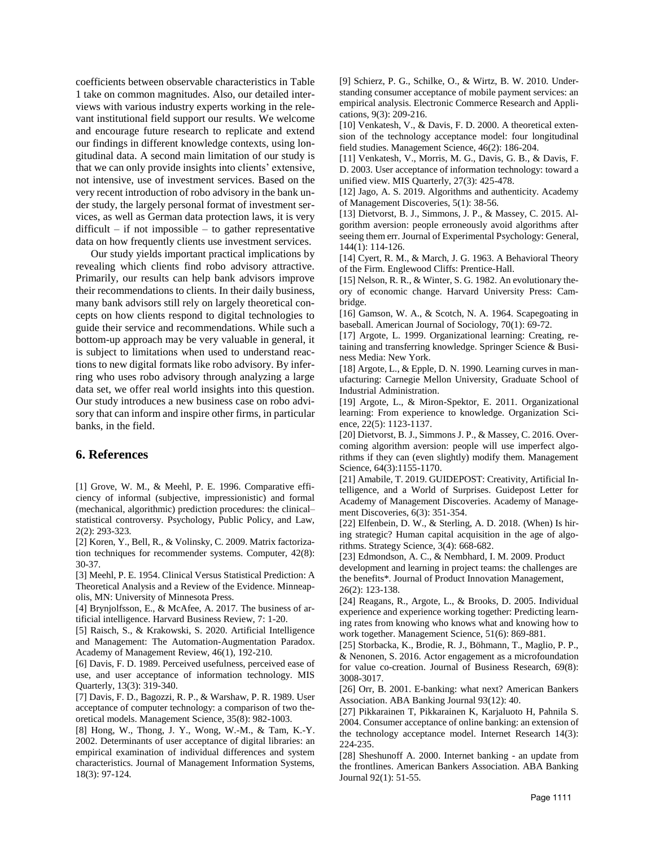coefficients between observable characteristics in Table 1 take on common magnitudes. Also, our detailed interviews with various industry experts working in the relevant institutional field support our results. We welcome and encourage future research to replicate and extend our findings in different knowledge contexts, using longitudinal data. A second main limitation of our study is that we can only provide insights into clients' extensive, not intensive, use of investment services. Based on the very recent introduction of robo advisory in the bank under study, the largely personal format of investment services, as well as German data protection laws, it is very difficult  $-$  if not impossible  $-$  to gather representative data on how frequently clients use investment services.

Our study yields important practical implications by revealing which clients find robo advisory attractive. Primarily, our results can help bank advisors improve their recommendations to clients. In their daily business, many bank advisors still rely on largely theoretical concepts on how clients respond to digital technologies to guide their service and recommendations. While such a bottom-up approach may be very valuable in general, it is subject to limitations when used to understand reactions to new digital formats like robo advisory. By inferring who uses robo advisory through analyzing a large data set, we offer real world insights into this question. Our study introduces a new business case on robo advisory that can inform and inspire other firms, in particular banks, in the field.

#### **6. References**

[1] Grove, W. M., & Meehl, P. E. 1996. Comparative efficiency of informal (subjective, impressionistic) and formal (mechanical, algorithmic) prediction procedures: the clinical– statistical controversy. Psychology, Public Policy, and Law, 2(2): 293-323.

[2] Koren, Y., Bell, R., & Volinsky, C. 2009. Matrix factorization techniques for recommender systems. Computer, 42(8): 30-37.

[3] Meehl, P. E. 1954. Clinical Versus Statistical Prediction: A Theoretical Analysis and a Review of the Evidence. Minneapolis, MN: University of Minnesota Press.

[4] Brynjolfsson, E., & McAfee, A. 2017. The business of artificial intelligence. Harvard Business Review, 7: 1-20.

[5] Raisch, S., & Krakowski, S. 2020. Artificial Intelligence and Management: The Automation-Augmentation Paradox. Academy of Management Review, 46(1), 192-210.

[6] Davis, F. D. 1989. Perceived usefulness, perceived ease of use, and user acceptance of information technology. MIS Quarterly, 13(3): 319-340.

[7] Davis, F. D., Bagozzi, R. P., & Warshaw, P. R. 1989. User acceptance of computer technology: a comparison of two theoretical models. Management Science, 35(8): 982-1003.

[8] Hong, W., Thong, J. Y., Wong, W.-M., & Tam, K.-Y. 2002. Determinants of user acceptance of digital libraries: an empirical examination of individual differences and system characteristics. Journal of Management Information Systems, 18(3): 97-124.

[9] Schierz, P. G., Schilke, O., & Wirtz, B. W. 2010. Understanding consumer acceptance of mobile payment services: an empirical analysis. Electronic Commerce Research and Applications, 9(3): 209-216.

[10] Venkatesh, V., & Davis, F. D. 2000. A theoretical extension of the technology acceptance model: four longitudinal field studies. Management Science, 46(2): 186-204.

[11] Venkatesh, V., Morris, M. G., Davis, G. B., & Davis, F. D. 2003. User acceptance of information technology: toward a unified view. MIS Quarterly, 27(3): 425-478.

[12] Jago, A. S. 2019. Algorithms and authenticity. Academy of Management Discoveries, 5(1): 38-56.

[13] Dietvorst, B. J., Simmons, J. P., & Massey, C. 2015. Algorithm aversion: people erroneously avoid algorithms after seeing them err. Journal of Experimental Psychology: General, 144(1): 114-126.

[14] Cyert, R. M., & March, J. G. 1963. A Behavioral Theory of the Firm. Englewood Cliffs: Prentice-Hall.

[15] Nelson, R. R., & Winter, S. G. 1982. An evolutionary theory of economic change. Harvard University Press: Cambridge.

[16] Gamson, W. A., & Scotch, N. A. 1964. Scapegoating in baseball. American Journal of Sociology, 70(1): 69-72.

[17] Argote, L. 1999. Organizational learning: Creating, retaining and transferring knowledge. Springer Science & Business Media: New York.

[18] Argote, L., & Epple, D. N. 1990. Learning curves in manufacturing: Carnegie Mellon University, Graduate School of Industrial Administration.

[19] Argote, L., & Miron-Spektor, E. 2011. Organizational learning: From experience to knowledge. Organization Science, 22(5): 1123-1137.

[20] Dietvorst, B. J., Simmons J. P., & Massey, C. 2016. Overcoming algorithm aversion: people will use imperfect algorithms if they can (even slightly) modify them. Management Science, 64(3):1155-1170.

[21] Amabile, T. 2019. GUIDEPOST: Creativity, Artificial Intelligence, and a World of Surprises. Guidepost Letter for Academy of Management Discoveries. Academy of Management Discoveries, 6(3): 351-354.

[22] Elfenbein, D. W., & Sterling, A. D. 2018. (When) Is hiring strategic? Human capital acquisition in the age of algorithms. Strategy Science, 3(4): 668-682.

[23] Edmondson, A. C., & Nembhard, I. M. 2009. Product development and learning in project teams: the challenges are the benefits\*. Journal of Product Innovation Management, 26(2): 123-138.

[24] Reagans, R., Argote, L., & Brooks, D. 2005. Individual experience and experience working together: Predicting learning rates from knowing who knows what and knowing how to work together. Management Science, 51(6): 869-881.

[25] Storbacka, K., Brodie, R. J., Böhmann, T., Maglio, P. P., & Nenonen, S. 2016. Actor engagement as a microfoundation for value co-creation. Journal of Business Research, 69(8): 3008-3017.

[26] Orr, B. 2001. E-banking: what next? American Bankers Association. ABA Banking Journal 93(12): 40.

[27] Pikkarainen T, Pikkarainen K, Karjaluoto H, Pahnila S. 2004. Consumer acceptance of online banking: an extension of the technology acceptance model. Internet Research 14(3): 224-235.

[28] Sheshunoff A. 2000. Internet banking - an update from the frontlines. American Bankers Association. ABA Banking Journal 92(1): 51-55.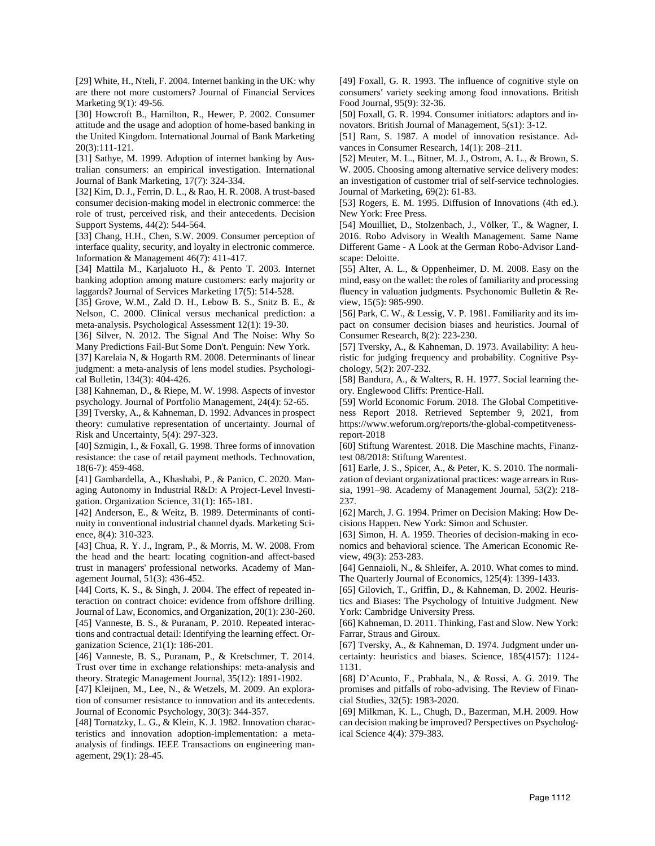[29] White, H., Nteli, F. 2004. Internet banking in the UK: why are there not more customers? Journal of Financial Services Marketing 9(1): 49-56.

[30] Howcroft B., Hamilton, R., Hewer, P. 2002. Consumer attitude and the usage and adoption of home-based banking in the United Kingdom. International Journal of Bank Marketing 20(3):111-121.

[31] Sathye, M. 1999. Adoption of internet banking by Australian consumers: an empirical investigation. International Journal of Bank Marketing, 17(7): 324-334.

[32] Kim, D. J., Ferrin, D. L., & Rao, H. R. 2008. A trust-based consumer decision-making model in electronic commerce: the role of trust, perceived risk, and their antecedents. Decision Support Systems, 44(2): 544-564.

[33] Chang, H.H., Chen, S.W. 2009. Consumer perception of interface quality, security, and loyalty in electronic commerce. Information & Management 46(7): 411-417.

[34] Mattila M., Karjaluoto H., & Pento T. 2003. Internet banking adoption among mature customers: early majority or laggards? Journal of Services Marketing 17(5): 514-528.

[35] Grove, W.M., Zald D. H., Lebow B. S., Snitz B. E., & Nelson, C. 2000. Clinical versus mechanical prediction: a meta-analysis. Psychological Assessment 12(1): 19-30.

[36] Silver, N. 2012. The Signal And The Noise: Why So Many Predictions Fail-But Some Don't. Penguin: New York.

[37] Karelaia N, & Hogarth RM. 2008. Determinants of linear judgment: a meta-analysis of lens model studies. Psychological Bulletin, 134(3): 404-426.

[38] Kahneman, D., & Riepe, M. W. 1998. Aspects of investor psychology. Journal of Portfolio Management, 24(4): 52-65.

[39] Tversky, A., & Kahneman, D. 1992. Advances in prospect theory: cumulative representation of uncertainty. Journal of Risk and Uncertainty, 5(4): 297-323.

[40] Szmigin, I., & Foxall, G. 1998. Three forms of innovation resistance: the case of retail payment methods. Technovation, 18(6-7): 459-468.

[41] Gambardella, A., Khashabi, P., & Panico, C. 2020. Managing Autonomy in Industrial R&D: A Project-Level Investigation. Organization Science, 31(1): 165-181.

[42] Anderson, E., & Weitz, B. 1989. Determinants of continuity in conventional industrial channel dyads. Marketing Science, 8(4): 310-323.

[43] Chua, R. Y. J., Ingram, P., & Morris, M. W. 2008. From the head and the heart: locating cognition-and affect-based trust in managers' professional networks. Academy of Management Journal, 51(3): 436-452.

[44] Corts, K. S., & Singh, J. 2004. The effect of repeated interaction on contract choice: evidence from offshore drilling. Journal of Law, Economics, and Organization, 20(1): 230-260. [45] Vanneste, B. S., & Puranam, P. 2010. Repeated interactions and contractual detail: Identifying the learning effect. Organization Science, 21(1): 186-201.

[46] Vanneste, B. S., Puranam, P., & Kretschmer, T. 2014. Trust over time in exchange relationships: meta‐analysis and theory. Strategic Management Journal, 35(12): 1891-1902.

[47] Kleijnen, M., Lee, N., & Wetzels, M. 2009. An exploration of consumer resistance to innovation and its antecedents. Journal of Economic Psychology, 30(3): 344-357.

[48] Tornatzky, L. G., & Klein, K. J. 1982. Innovation characteristics and innovation adoption-implementation: a metaanalysis of findings. IEEE Transactions on engineering management, 29(1): 28-45.

[49] Foxall, G. R. 1993. The influence of cognitive style on consumers′ variety seeking among food innovations. British Food Journal, 95(9): 32-36.

[50] Foxall, G. R. 1994. Consumer initiators: adaptors and innovators. British Journal of Management, 5(s1): 3-12.

[51] Ram, S. 1987. A model of innovation resistance. Advances in Consumer Research, 14(1): 208–211.

[52] Meuter, M. L., Bitner, M. J., Ostrom, A. L., & Brown, S. W. 2005. Choosing among alternative service delivery modes: an investigation of customer trial of self-service technologies. Journal of Marketing, 69(2): 61-83.

[53] Rogers, E. M. 1995. Diffusion of Innovations (4th ed.). New York: Free Press.

[54] Mouilliet, D., Stolzenbach, J., Völker, T., & Wagner, I. 2016. Robo Advisory in Wealth Management. Same Name Different Game - A Look at the German Robo-Advisor Landscape: Deloitte.

[55] Alter, A. L., & Oppenheimer, D. M. 2008. Easy on the mind, easy on the wallet: the roles of familiarity and processing fluency in valuation judgments. Psychonomic Bulletin & Review, 15(5): 985-990.

[56] Park, C. W., & Lessig, V. P. 1981. Familiarity and its impact on consumer decision biases and heuristics. Journal of Consumer Research, 8(2): 223-230.

[57] Tversky, A., & Kahneman, D. 1973. Availability: A heuristic for judging frequency and probability. Cognitive Psychology, 5(2): 207-232.

[58] Bandura, A., & Walters, R. H. 1977. Social learning theory. Englewood Cliffs: Prentice-Hall.

[59] World Economic Forum. 2018. The Global Competitiveness Report 2018. Retrieved September 9, 2021, from https://www.weforum.org/reports/the-global-competitvenessreport-2018

[60] Stiftung Warentest. 2018. Die Maschine machts, Finanztest 08/2018: Stiftung Warentest.

[61] Earle, J. S., Spicer, A., & Peter, K. S. 2010. The normalization of deviant organizational practices: wage arrears in Russia, 1991–98. Academy of Management Journal, 53(2): 218- 237.

[62] March, J. G. 1994. Primer on Decision Making: How Decisions Happen. New York: Simon and Schuster.

[63] Simon, H. A. 1959. Theories of decision-making in economics and behavioral science. The American Economic Review, 49(3): 253-283.

[64] Gennaioli, N., & Shleifer, A. 2010. What comes to mind. The Quarterly Journal of Economics, 125(4): 1399-1433.

[65] Gilovich, T., Griffin, D., & Kahneman, D. 2002. Heuristics and Biases: The Psychology of Intuitive Judgment. New York: Cambridge University Press.

[66] Kahneman, D. 2011. Thinking, Fast and Slow. New York: Farrar, Straus and Giroux.

[67] Tversky, A., & Kahneman, D. 1974. Judgment under uncertainty: heuristics and biases. Science, 185(4157): 1124- 1131.

[68] D'Acunto, F., Prabhala, N., & Rossi, A. G. 2019. The promises and pitfalls of robo-advising. The Review of Financial Studies, 32(5): 1983-2020.

[69] Milkman, K. L., Chugh, D., Bazerman, M.H. 2009. How can decision making be improved? Perspectives on Psychological Science 4(4): 379-383.